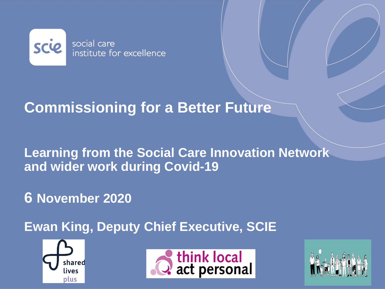

# **Commissioning for a Better Future**

### **Learning from the Social Care Innovation Network and wider work during Covid-19**

# **6 November 2020**

**Ewan King, Deputy Chief Executive, SCIE**





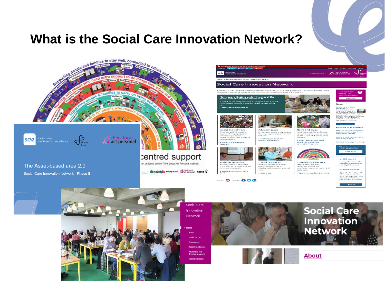#### **What is the Social Care Innovation Network?**



The Asset-based area 2.0 Social Care Innovation Network - Phase II





**Network Initial** report ebooting selfdirected supports Commissioning

**We think** making it mail **State personal** nesta





**About**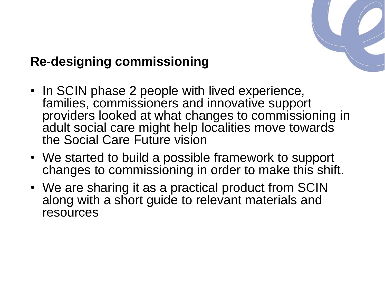

# **Re-designing commissioning**

- In SCIN phase 2 people with lived experience, families, commissioners and innovative support providers looked at what changes to commissioning in adult social care might help localities move towards the Social Care Future vision
- We started to build a possible framework to support changes to commissioning in order to make this shift.
- We are sharing it as a practical product from SCIN along with a short guide to relevant materials and resources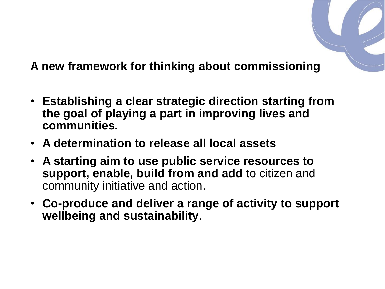

- **Establishing a clear strategic direction starting from the goal of playing a part in improving lives and communities.**
- **A determination to release all local assets**
- **A starting aim to use public service resources to support, enable, build from and add** to citizen and community initiative and action.
- **Co-produce and deliver a range of activity to support wellbeing and sustainability**.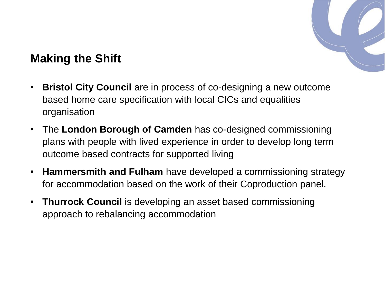

#### **Making the Shift**

- **Bristol City Council** are in process of co-designing a new outcome based home care specification with local CICs and equalities organisation
- The **London Borough of Camden** has co-designed commissioning plans with people with lived experience in order to develop long term outcome based contracts for supported living
- **Hammersmith and Fulham** have developed a commissioning strategy for accommodation based on the work of their Coproduction panel.
- **Thurrock Council** is developing an asset based commissioning approach to rebalancing accommodation